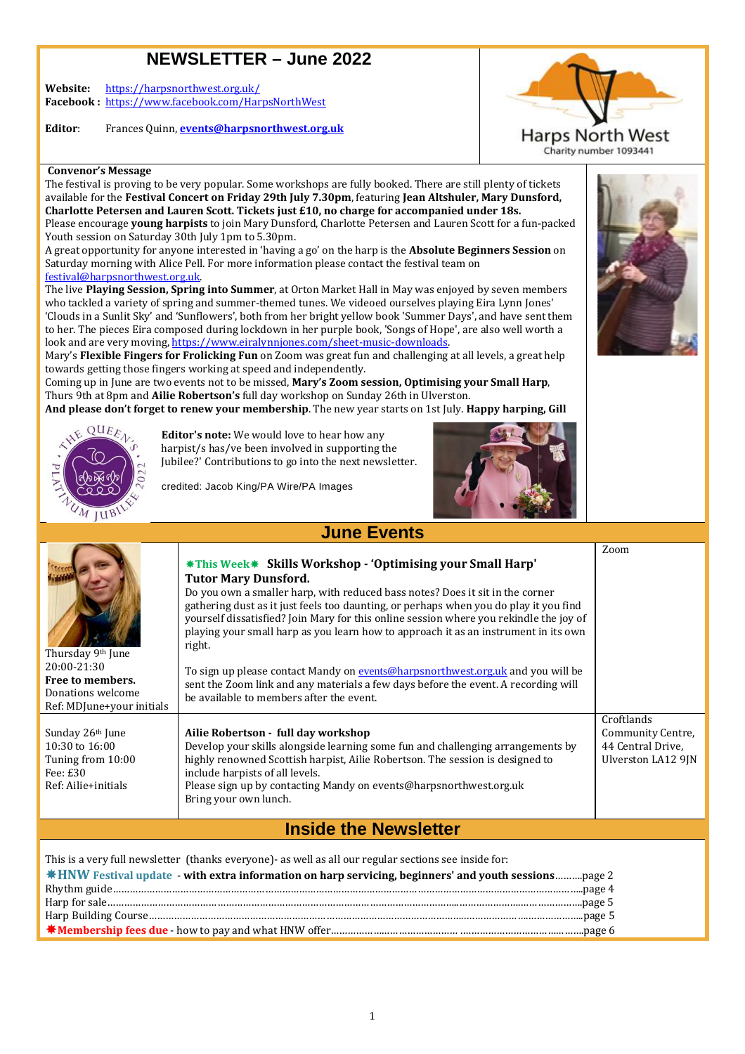# **NEWSLETTER – June 2022**

**Website:** https://harpsnorthwest.org.uk/ **Facebook :** https://www.facebook.com/HarpsNorthWest

**Editor**: Frances Quinn, **events@harpsnorthwest.org.uk**



**Convenor's Message**

The festival is proving to be very popular. Some workshops are fully booked. There are still plenty of tickets available for the Festival Concert on Friday 29th July 7.30pm, featuring Jean Altshuler, Mary Dunsford, **Charlotte Petersen and Lauren Scott. Tickets just £10 £10, no charge for accompanied under 18s.**  Please encourage **young harpists** to join Mary Dunsford, Charlotte Petersen and Lauren Scott for a fun-packed Youth session on Saturday 30th July 1pm to 5.30pm.

A great opportunity for anyone interested in 'having a go' on the harp is the **Absolute Beginners Session** on Saturday morning with Alice Pell. For more information please contact the festival team on festival@harpsnorthwest.org.uk.

The live **Playing Session, Spring into Summer** , at Orton Market Hall in May was enjoyed by seven members who tackled a variety of spring and summer-themed tunes. We videoed ourselves playing Eira Lynn Jones' 'Clouds in a Sunlit Sky' and 'Sunflowers', both from her bright yellow book 'Summer Days', and have sent them to her. The pieces Eira composed during lockdown in her purple book, 'Songs of Hope', are also well worth a look and are very moving, https://www.eiralynnjones.com/sheet-music-downloads. ays', and have sent t<br>, are also well worth<br>t all levels, a great h<br>**g your Small Harp**,

Mary's **Flexible Fingers for Frolicking Fun** on Zoom was great fun and challenging at all levels, a great help towards getting those fingers working at speed and independently.

Coming up in June are two events not to be missed, **Mary's Zoom session, Optimising your Small Harp** Thurs 9th at 8pm and **Ailie Robertson's** full day workshop on Sunday 26th in Ulverston.

**And please don't forget to renew your membership** . The new year starts on 1st July. **Happy harping, Gill** 



Thursday 9<sup>th</sup> June 20:00-21:30 **Free to members.**  Donations welcome Ref: MDJune+your initials

Sunday 26th June 10:30 to 16:00 Tuning from 10:00

Fee: £30 Ref: Ailie+initials

**Editor's note:** We would love to hear how any harpist/s has/ve been involved in supporting the Jubilee?' Contributions to go into the next newsletter.

credited: Jacob King/PA Wire/PA Images

right.



Bring your own lunch.

**Inside the Newsletter** 

This is a very full newsletter (thanks everyone)- as well as all our regular sections see inside for: **HNW Festival update** - **with extra information on harp servicing, beginners' and youth sessions** ……….page 2 Rhythm guide…………………………………………………………………………………………………………………………………………………..page 4 Harp for sale………………………………………………………………………… sale……………………………………………………………………………………………………………..………………….………………… ………………….page 5 Harp Building Course……………………………………………………………… Course…………………………………………………………………………………………………..………………….………………. ………………..page 5 **Membership fees due** - how to pay and what HNW offer……………………………………… . .…………………………………… …………………………………….page 6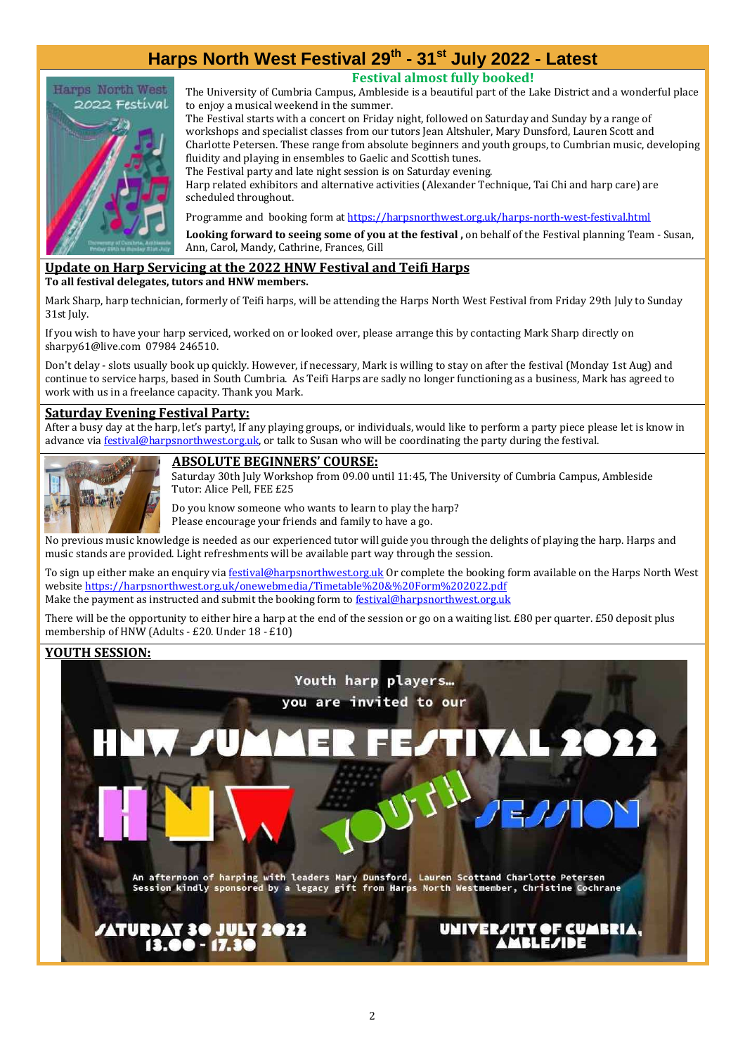# **Harps North West Festival 29th - 31st July 2022 - Latest**



**Festival almost fully booked!** 

The University of Cumbria Campus, Ambleside is a beautiful part of the Lake District and a wonderful place to enjoy a musical weekend in the summer.

The Festival starts with a concert on Friday night, followed on Saturday and Sunday by a range of workshops and specialist classes from our tutors Jean Altshuler, Mary Dunsford, Lauren Scott and Charlotte Petersen. These range from absolute beginners and youth groups, to Cumbrian music, developing fluidity and playing in ensembles to Gaelic and Scottish tunes.

The Festival party and late night session is on Saturday evening.

Harp related exhibitors and alternative activities (Alexander Technique, Tai Chi and harp care) are scheduled throughout.

Programme and booking form at https://harpsnorthwest.org.uk/harps-north-west-festival.html

**Looking forward to seeing some of you at the festival ,** on behalf of the Festival planning Team - Susan, Ann, Carol, Mandy, Cathrine, Frances, Gill

#### **Update on Harp Servicing at the 2022 HNW Festival and Teifi Harps To all festival delegates, tutors and HNW members.**

Mark Sharp, harp technician, formerly of Teifi harps, will be attending the Harps North West Festival from Friday 29th July to Sunday 31st July.

If you wish to have your harp serviced, worked on or looked over, please arrange this by contacting Mark Sharp directly on sharpy61@live.com 07984 246510.

Don't delay - slots usually book up quickly. However, if necessary, Mark is willing to stay on after the festival (Monday 1st Aug) and continue to service harps, based in South Cumbria. As Teifi Harps are sadly no longer functioning as a business, Mark has agreed to work with us in a freelance capacity. Thank you Mark.

### **Saturday Evening Festival Party:**

After a busy day at the harp, let's party!, If any playing groups, or individuals, would like to perform a party piece please let is know in advance via festival@harpsnorthwest.org.uk, or talk to Susan who will be coordinating the party during the festival.



## **ABSOLUTE BEGINNERS' COURSE:**

Saturday 30th July Workshop from 09.00 until 11:45, The University of Cumbria Campus, Ambleside Tutor: Alice Pell, FEE £25

Do you know someone who wants to learn to play the harp? Please encourage your friends and family to have a go.

No previous music knowledge is needed as our experienced tutor will guide you through the delights of playing the harp. Harps and music stands are provided. Light refreshments will be available part way through the session.

To sign up either make an enquiry via festival@harpsnorthwest.org.uk Or complete the booking form available on the Harps North West website https://harpsnorthwest.org.uk/onewebmedia/Timetable%20&%20Form%202022.pdf Make the payment as instructed and submit the booking form to **festival@harpsnorthwest.org.uk** 

There will be the opportunity to either hire a harp at the end of the session or go on a waiting list. £80 per quarter. £50 deposit plus membership of HNW (Adults - £20. Under 18 - £10)

## **YOUTH SESSION:**

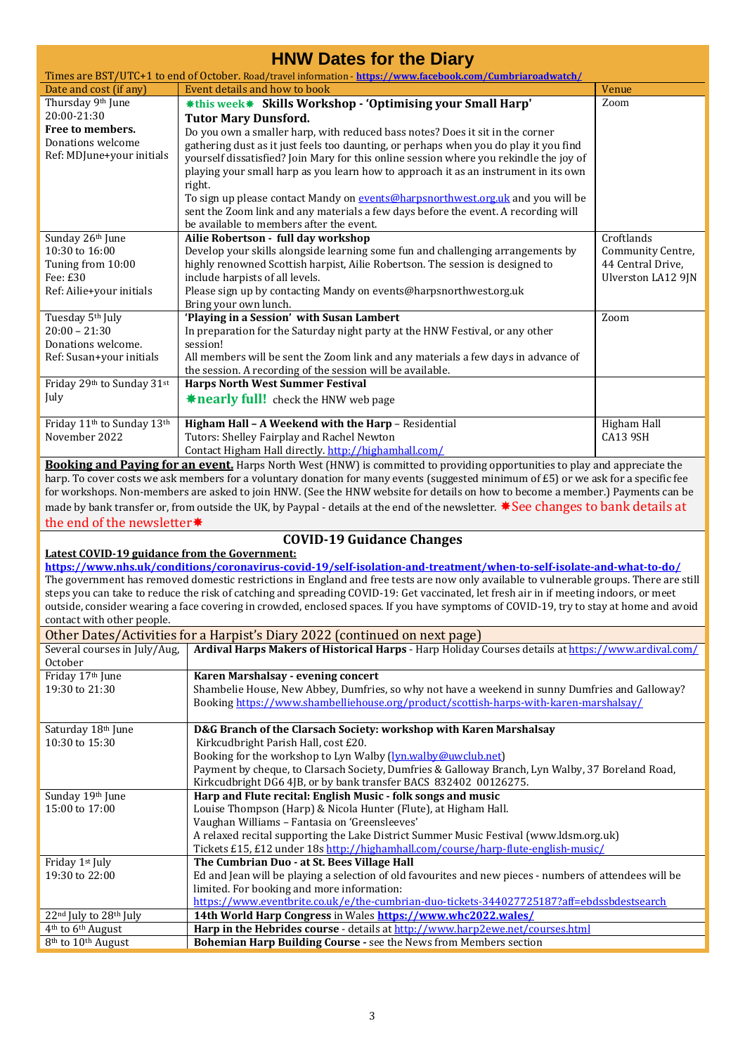| <b>HNW Dates for the Diary</b>                                                                                                               |                                                                                                                                                                                                                                                                 |                                 |  |  |  |
|----------------------------------------------------------------------------------------------------------------------------------------------|-----------------------------------------------------------------------------------------------------------------------------------------------------------------------------------------------------------------------------------------------------------------|---------------------------------|--|--|--|
| Times are BST/UTC+1 to end of October. Road/travel information - https://www.facebook.com/Cumbriaroadwatch/<br>Event details and how to book |                                                                                                                                                                                                                                                                 |                                 |  |  |  |
| Date and cost (if any)<br>Thursday 9th June                                                                                                  | *this week* Skills Workshop - 'Optimising your Small Harp'                                                                                                                                                                                                      | Venue<br>Zoom                   |  |  |  |
| 20:00-21:30                                                                                                                                  | <b>Tutor Mary Dunsford.</b>                                                                                                                                                                                                                                     |                                 |  |  |  |
| Free to members.                                                                                                                             | Do you own a smaller harp, with reduced bass notes? Does it sit in the corner                                                                                                                                                                                   |                                 |  |  |  |
| Donations welcome                                                                                                                            | gathering dust as it just feels too daunting, or perhaps when you do play it you find                                                                                                                                                                           |                                 |  |  |  |
| Ref: MDJune+your initials                                                                                                                    | yourself dissatisfied? Join Mary for this online session where you rekindle the joy of                                                                                                                                                                          |                                 |  |  |  |
|                                                                                                                                              | playing your small harp as you learn how to approach it as an instrument in its own                                                                                                                                                                             |                                 |  |  |  |
|                                                                                                                                              | right.                                                                                                                                                                                                                                                          |                                 |  |  |  |
|                                                                                                                                              | To sign up please contact Mandy on events@harpsnorthwest.org.uk and you will be                                                                                                                                                                                 |                                 |  |  |  |
|                                                                                                                                              | sent the Zoom link and any materials a few days before the event. A recording will                                                                                                                                                                              |                                 |  |  |  |
|                                                                                                                                              | be available to members after the event.                                                                                                                                                                                                                        |                                 |  |  |  |
| Sunday 26th June<br>10:30 to 16:00                                                                                                           | Ailie Robertson - full day workshop<br>Develop your skills alongside learning some fun and challenging arrangements by                                                                                                                                          | Croftlands<br>Community Centre, |  |  |  |
| Tuning from 10:00                                                                                                                            | highly renowned Scottish harpist, Ailie Robertson. The session is designed to                                                                                                                                                                                   | 44 Central Drive,               |  |  |  |
| Fee: £30                                                                                                                                     | include harpists of all levels.                                                                                                                                                                                                                                 | Ulverston LA12 9JN              |  |  |  |
| Ref: Ailie+your initials                                                                                                                     | Please sign up by contacting Mandy on events@harpsnorthwest.org.uk                                                                                                                                                                                              |                                 |  |  |  |
|                                                                                                                                              | Bring your own lunch.                                                                                                                                                                                                                                           |                                 |  |  |  |
| Tuesday 5th July                                                                                                                             | 'Playing in a Session' with Susan Lambert                                                                                                                                                                                                                       | Zoom                            |  |  |  |
| $20:00 - 21:30$                                                                                                                              | In preparation for the Saturday night party at the HNW Festival, or any other                                                                                                                                                                                   |                                 |  |  |  |
| Donations welcome.                                                                                                                           | session!                                                                                                                                                                                                                                                        |                                 |  |  |  |
| Ref: Susan+your initials                                                                                                                     | All members will be sent the Zoom link and any materials a few days in advance of<br>the session. A recording of the session will be available.                                                                                                                 |                                 |  |  |  |
| Friday 29th to Sunday 31st                                                                                                                   | <b>Harps North West Summer Festival</b>                                                                                                                                                                                                                         |                                 |  |  |  |
| July                                                                                                                                         | <b>*nearly full!</b> check the HNW web page                                                                                                                                                                                                                     |                                 |  |  |  |
|                                                                                                                                              |                                                                                                                                                                                                                                                                 |                                 |  |  |  |
| Friday 11 <sup>th</sup> to Sunday 13 <sup>th</sup><br>November 2022                                                                          | Higham Hall - A Weekend with the Harp - Residential                                                                                                                                                                                                             | Higham Hall                     |  |  |  |
|                                                                                                                                              | Tutors: Shelley Fairplay and Rachel Newton<br>Contact Higham Hall directly. http://highamhall.com/                                                                                                                                                              | CA13 9SH                        |  |  |  |
|                                                                                                                                              | Booking and Paying for an event. Harps North West (HNW) is committed to providing opportunities to play and appreciate the                                                                                                                                      |                                 |  |  |  |
|                                                                                                                                              | harp. To cover costs we ask members for a voluntary donation for many events (suggested minimum of £5) or we ask for a specific fee                                                                                                                             |                                 |  |  |  |
|                                                                                                                                              | for workshops. Non-members are asked to join HNW. (See the HNW website for details on how to become a member.) Payments can be                                                                                                                                  |                                 |  |  |  |
|                                                                                                                                              | made by bank transfer or, from outside the UK, by Paypal - details at the end of the newsletter. *See changes to bank details at                                                                                                                                |                                 |  |  |  |
| the end of the newsletter*                                                                                                                   |                                                                                                                                                                                                                                                                 |                                 |  |  |  |
|                                                                                                                                              | <b>COVID-19 Guidance Changes</b>                                                                                                                                                                                                                                |                                 |  |  |  |
| Latest COVID-19 guidance from the Government:                                                                                                |                                                                                                                                                                                                                                                                 |                                 |  |  |  |
|                                                                                                                                              | https://www.nhs.uk/conditions/coronavirus-covid-19/self-isolation-and-treatment/when-to-self-isolate-and-what-to-do/<br>The government has removed domestic restrictions in England and free tests are now only available to vulnerable groups. There are still |                                 |  |  |  |
|                                                                                                                                              | steps you can take to reduce the risk of catching and spreading COVID-19: Get vaccinated, let fresh air in if meeting indoors, or meet                                                                                                                          |                                 |  |  |  |
|                                                                                                                                              | outside, consider wearing a face covering in crowded, enclosed spaces. If you have symptoms of COVID-19, try to stay at home and avoid                                                                                                                          |                                 |  |  |  |
| contact with other people.                                                                                                                   |                                                                                                                                                                                                                                                                 |                                 |  |  |  |
|                                                                                                                                              | Other Dates/Activities for a Harpist's Diary 2022 (continued on next page)                                                                                                                                                                                      |                                 |  |  |  |
| Several courses in July/Aug,                                                                                                                 | Ardival Harps Makers of Historical Harps - Harp Holiday Courses details at https://www.ardival.com/                                                                                                                                                             |                                 |  |  |  |
| October                                                                                                                                      |                                                                                                                                                                                                                                                                 |                                 |  |  |  |
| Friday 17th June<br>19:30 to 21:30                                                                                                           | Karen Marshalsay - evening concert<br>Shambelie House, New Abbey, Dumfries, so why not have a weekend in sunny Dumfries and Galloway?                                                                                                                           |                                 |  |  |  |
|                                                                                                                                              | Booking https://www.shambelliehouse.org/product/scottish-harps-with-karen-marshalsay/                                                                                                                                                                           |                                 |  |  |  |
|                                                                                                                                              |                                                                                                                                                                                                                                                                 |                                 |  |  |  |
| Saturday 18th June                                                                                                                           | D&G Branch of the Clarsach Society: workshop with Karen Marshalsay                                                                                                                                                                                              |                                 |  |  |  |
| 10:30 to 15:30                                                                                                                               | Kirkcudbright Parish Hall, cost £20.                                                                                                                                                                                                                            |                                 |  |  |  |
|                                                                                                                                              | Booking for the workshop to Lyn Walby (lyn.walby@uwclub.net)                                                                                                                                                                                                    |                                 |  |  |  |
|                                                                                                                                              | Payment by cheque, to Clarsach Society, Dumfries & Galloway Branch, Lyn Walby, 37 Boreland Road,                                                                                                                                                                |                                 |  |  |  |
| Sunday 19th June                                                                                                                             | Kirkcudbright DG6 4JB, or by bank transfer BACS 832402 00126275.<br>Harp and Flute recital: English Music - folk songs and music                                                                                                                                |                                 |  |  |  |
| 15:00 to 17:00                                                                                                                               | Louise Thompson (Harp) & Nicola Hunter (Flute), at Higham Hall.                                                                                                                                                                                                 |                                 |  |  |  |
|                                                                                                                                              | Vaughan Williams - Fantasia on 'Greensleeves'                                                                                                                                                                                                                   |                                 |  |  |  |
|                                                                                                                                              | A relaxed recital supporting the Lake District Summer Music Festival (www.ldsm.org.uk)                                                                                                                                                                          |                                 |  |  |  |
|                                                                                                                                              | Tickets £15, £12 under 18s http://highamhall.com/course/harp-flute-english-music/                                                                                                                                                                               |                                 |  |  |  |
| Friday 1st July                                                                                                                              | The Cumbrian Duo - at St. Bees Village Hall                                                                                                                                                                                                                     |                                 |  |  |  |
| 19:30 to 22:00                                                                                                                               | Ed and Jean will be playing a selection of old favourites and new pieces - numbers of attendees will be<br>limited. For booking and more information:                                                                                                           |                                 |  |  |  |
|                                                                                                                                              | https://www.eventbrite.co.uk/e/the-cumbrian-duo-tickets-344027725187?aff=ebdssbdestsearch                                                                                                                                                                       |                                 |  |  |  |
| 22 <sup>nd</sup> July to 28 <sup>th</sup> July                                                                                               | 14th World Harp Congress in Wales https://www.whc2022.wales/                                                                                                                                                                                                    |                                 |  |  |  |
| 4 <sup>th</sup> to 6 <sup>th</sup> August                                                                                                    | Harp in the Hebrides course - details at http://www.harp2ewe.net/courses.html                                                                                                                                                                                   |                                 |  |  |  |
| 8th to 10th August                                                                                                                           | Bohemian Harp Building Course - see the News from Members section                                                                                                                                                                                               |                                 |  |  |  |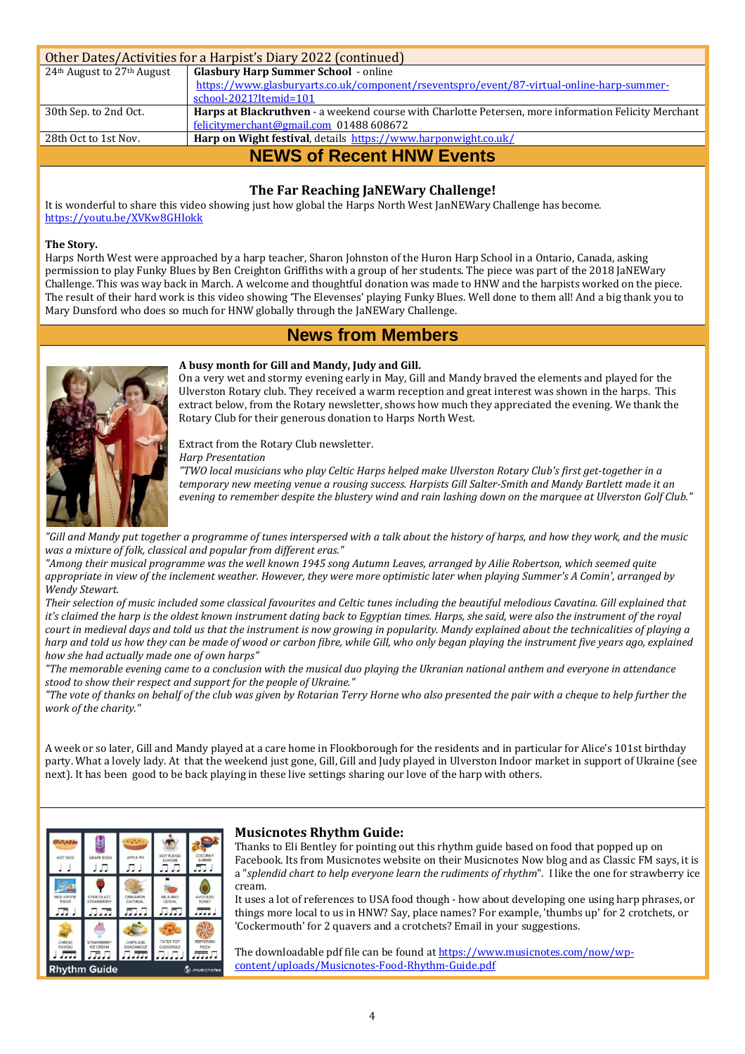| Other Dates/Activities for a Harpist's Diary 2022 (continued) |                                                                                                      |  |  |  |
|---------------------------------------------------------------|------------------------------------------------------------------------------------------------------|--|--|--|
| 24 <sup>th</sup> August to 27 <sup>th</sup> August            | <b>Glasbury Harp Summer School - online</b>                                                          |  |  |  |
|                                                               | https://www.glasburyarts.co.uk/component/rseventspro/event/87-virtual-online-harp-summer-            |  |  |  |
|                                                               | school-2021?Itemid=101                                                                               |  |  |  |
| 30th Sep. to 2nd Oct.                                         | Harps at Blackruthven - a weekend course with Charlotte Petersen, more information Felicity Merchant |  |  |  |
|                                                               | felicitymerchant@gmail.com 01488 608672                                                              |  |  |  |
| 28th Oct to 1st Nov.                                          | Harp on Wight festival, details https://www.harponwight.co.uk/                                       |  |  |  |
| <b>NEWS of Recent HNW Events</b>                              |                                                                                                      |  |  |  |

# **The Far Reaching JaNEWary Challenge!**

It is wonderful to share this video showing just how global the Harps North West JanNEWary Challenge has become. https://youtu.be/XVKw8GHIokk

#### **The Story.**

Harps North West were approached by a harp teacher, Sharon Johnston of the Huron Harp School in a Ontario, Canada, asking permission to play Funky Blues by Ben Creighton Griffiths with a group of her students. The piece was part of the 2018 JaNEWary Challenge. This was way back in March. A welcome and thoughtful donation was made to HNW and the harpists worked on the piece. The result of their hard work is this video showing 'The Elevenses' playing Funky Blues. Well done to them all! And a big thank you to Mary Dunsford who does so much for HNW globally through the JaNEWary Challenge.

# **News from Members**



#### **A busy month for Gill and Mandy, Judy and Gill.**

On a very wet and stormy evening early in May, Gill and Mandy braved the elements and played for the Ulverston Rotary club. They received a warm reception and great interest was shown in the harps. This extract below, from the Rotary newsletter, shows how much they appreciated the evening. We thank the Rotary Club for their generous donation to Harps North West.

Extract from the Rotary Club newsletter.

*Harp Presentation* 

*"TWO local musicians who play Celtic Harps helped make Ulverston Rotary Club's first get-together in a temporary new meeting venue a rousing success. Harpists Gill Salter-Smith and Mandy Bartlett made it an evening to remember despite the blustery wind and rain lashing down on the marquee at Ulverston Golf Club."*

*"Gill and Mandy put together a programme of tunes interspersed with a talk about the history of harps, and how they work, and the music was a mixture of folk, classical and popular from different eras."* 

*"Among their musical programme was the well known 1945 song Autumn Leaves, arranged by Ailie Robertson, which seemed quite appropriate in view of the inclement weather. However, they were more optimistic later when playing Summer's A Comin', arranged by Wendy Stewart.* 

*Their selection of music included some classical favourites and Celtic tunes including the beautiful melodious Cavatina. Gill explained that it's claimed the harp is the oldest known instrument dating back to Egyptian times. Harps, she said, were also the instrument of the royal court in medieval days and told us that the instrument is now growing in popularity. Mandy explained about the technicalities of playing a harp and told us how they can be made of wood or carbon fibre, while Gill, who only began playing the instrument five years ago, explained how she had actually made one of own harps"* 

*"The memorable evening came to a conclusion with the musical duo playing the Ukranian national anthem and everyone in attendance stood to show their respect and support for the people of Ukraine."* 

*"The vote of thanks on behalf of the club was given by Rotarian Terry Horne who also presented the pair with a cheque to help further the work of the charity."* 

A week or so later, Gill and Mandy played at a care home in Flookborough for the residents and in particular for Alice's 101st birthday party. What a lovely lady. At that the weekend just gone, Gill, Gill and Judy played in Ulverston Indoor market in support of Ukraine (see next). It has been good to be back playing in these live settings sharing our love of the harp with others.



#### **Musicnotes Rhythm Guide:**

Thanks to Eli Bentley for pointing out this rhythm guide based on food that popped up on Facebook. Its from Musicnotes website on their Musicnotes Now blog and as Classic FM says, it is a "*splendid chart to help everyone learn the rudiments of rhythm*". I like the one for strawberry ice cream.

It uses a lot of references to USA food though - how about developing one using harp phrases, or things more local to us in HNW? Say, place names? For example, 'thumbs up' for 2 crotchets, or 'Cockermouth' for 2 quavers and a crotchets? Email in your suggestions.

The downloadable pdf file can be found at https://www.musicnotes.com/now/wpcontent/uploads/Musicnotes-Food-Rhythm-Guide.pdf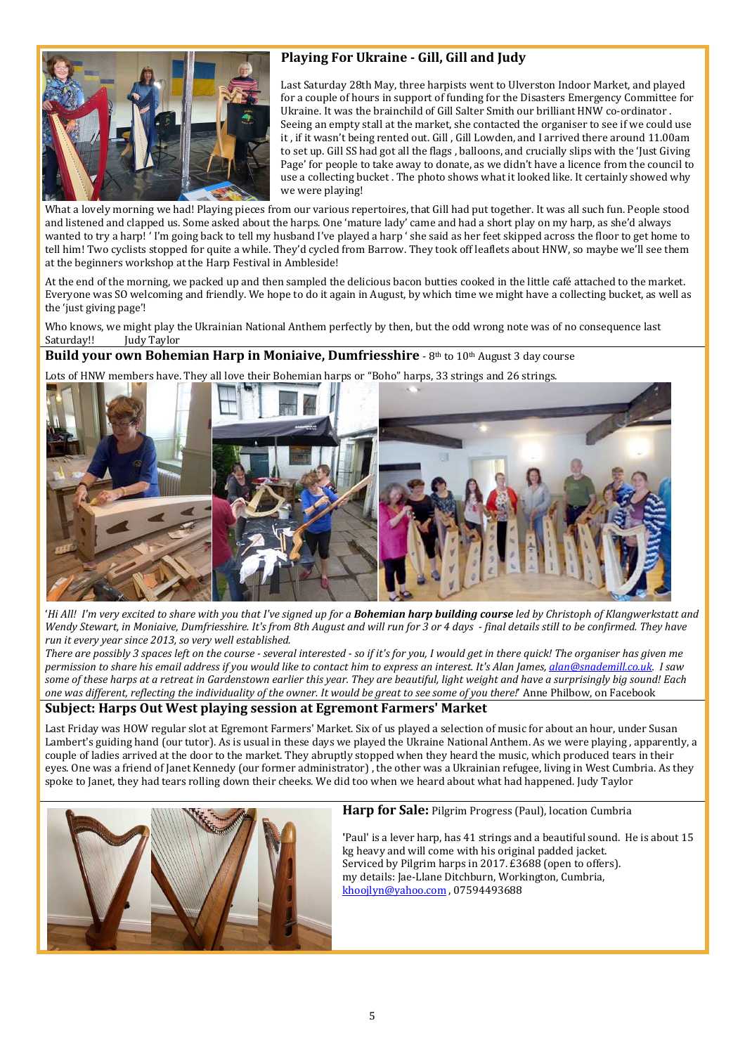

# **Playing For Ukraine - Gill, Gill and Judy**

Last Saturday 28th May, three harpists went to Ulverston Indoor Market, and played for a couple of hours in support of funding for the Disasters Emergency Committee for Ukraine. It was the brainchild of Gill Salter Smith our brilliant HNW co-ordinator . Seeing an empty stall at the market, she contacted the organiser to see if we could use it , if it wasn't being rented out. Gill , Gill Lowden, and I arrived there around 11.00am to set up. Gill SS had got all the flags , balloons, and crucially slips with the 'Just Giving Page' for people to take away to donate, as we didn't have a licence from the council to use a collecting bucket . The photo shows what it looked like. It certainly showed why we were playing!

What a lovely morning we had! Playing pieces from our various repertoires, that Gill had put together. It was all such fun. People stood and listened and clapped us. Some asked about the harps. One 'mature lady' came and had a short play on my harp, as she'd always wanted to try a harp! ' I'm going back to tell my husband I've played a harp ' she said as her feet skipped across the floor to get home to tell him! Two cyclists stopped for quite a while. They'd cycled from Barrow. They took off leaflets about HNW, so maybe we'll see them at the beginners workshop at the Harp Festival in Ambleside!

At the end of the morning, we packed up and then sampled the delicious bacon butties cooked in the little café attached to the market. Everyone was SO welcoming and friendly. We hope to do it again in August, by which time we might have a collecting bucket, as well as the 'just giving page'!

Who knows, we might play the Ukrainian National Anthem perfectly by then, but the odd wrong note was of no consequence last Saturday!! Judy Taylor

# **Build your own Bohemian Harp in Moniaive, Dumfriesshire** - 8th to 10th August 3 day course

Lots of HNW members have. They all love their Bohemian harps or "Boho" harps, 33 strings and 26 strings.



'*Hi All! I'm very excited to share with you that I've signed up for a Bohemian harp building course led by Christoph of Klangwerkstatt and Wendy Stewart, in Moniaive, Dumfriesshire. It's from 8th August and will run for 3 or 4 days - final details still to be confirmed. They have run it every year since 2013, so very well established.* 

*There are possibly 3 spaces left on the course - several interested - so if it's for you, I would get in there quick! The organiser has given me permission to share his email address if you would like to contact him to express an interest. It's Alan James, alan@snademill.co.uk. I saw some of these harps at a retreat in Gardenstown earlier this year. They are beautiful, light weight and have a surprisingly big sound! Each one was different, reflecting the individuality of the owner. It would be great to see some of you there!*' Anne Philbow, on Facebook

# **Subject: Harps Out West playing session at Egremont Farmers' Market**

Last Friday was HOW regular slot at Egremont Farmers' Market. Six of us played a selection of music for about an hour, under Susan Lambert's guiding hand (our tutor). As is usual in these days we played the Ukraine National Anthem. As we were playing , apparently, a couple of ladies arrived at the door to the market. They abruptly stopped when they heard the music, which produced tears in their eyes. One was a friend of Janet Kennedy (our former administrator) , the other was a Ukrainian refugee, living in West Cumbria. As they spoke to Janet, they had tears rolling down their cheeks. We did too when we heard about what had happened. Judy Taylor



**Harp for Sale:** Pilgrim Progress (Paul), location Cumbria

**'**Paul' is a lever harp, has 41 strings and a beautiful sound. He is about 15 kg heavy and will come with his original padded jacket. Serviced by Pilgrim harps in 2017. £3688 (open to offers). my details: Jae-Llane Ditchburn, Workington, Cumbria, khoojlyn@yahoo.com , 07594493688